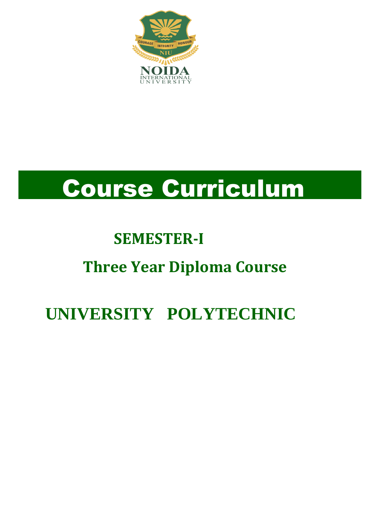

# Course Curriculum

# **SEMESTER-I**

# **Three Year Diploma Course**

# **UNIVERSITY POLYTECHNIC**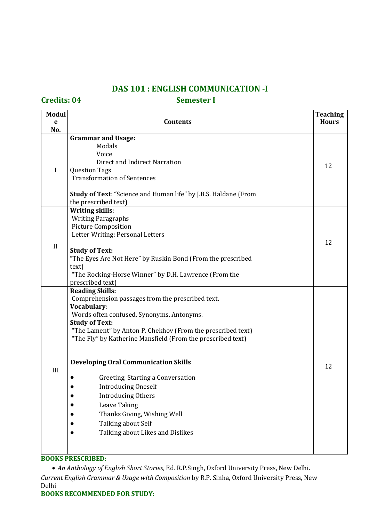### **DAS 101 : ENGLISH COMMUNICATION -I**

**Credits: 04 Semester I**

| <b>Modul</b> | <b>Teaching</b>                                                                                                                                                                                                                                                                               |              |  |  |
|--------------|-----------------------------------------------------------------------------------------------------------------------------------------------------------------------------------------------------------------------------------------------------------------------------------------------|--------------|--|--|
| e            | <b>Contents</b>                                                                                                                                                                                                                                                                               | <b>Hours</b> |  |  |
| No.          | <b>Grammar and Usage:</b>                                                                                                                                                                                                                                                                     |              |  |  |
| I            | Modals<br>Voice<br>Direct and Indirect Narration<br><b>Question Tags</b><br><b>Transformation of Sentences</b><br><b>Study of Text: "Science and Human life" by J.B.S. Haldane (From</b>                                                                                                      |              |  |  |
|              | the prescribed text)                                                                                                                                                                                                                                                                          |              |  |  |
| II           | <b>Writing skills:</b><br><b>Writing Paragraphs</b><br><b>Picture Composition</b><br>Letter Writing: Personal Letters<br><b>Study of Text:</b><br>"The Eyes Are Not Here" by Ruskin Bond (From the prescribed                                                                                 | 12           |  |  |
|              | text)                                                                                                                                                                                                                                                                                         |              |  |  |
|              | "The Rocking-Horse Winner" by D.H. Lawrence (From the<br>prescribed text)                                                                                                                                                                                                                     |              |  |  |
|              | <b>Reading Skills:</b><br>Comprehension passages from the prescribed text.<br>Vocabulary:<br>Words often confused, Synonyms, Antonyms.<br><b>Study of Text:</b><br>"The Lament" by Anton P. Chekhov (From the prescribed text)<br>"The Fly" by Katherine Mansfield (From the prescribed text) |              |  |  |
| III          | <b>Developing Oral Communication Skills</b><br>Greeting, Starting a Conversation<br><b>Introducing Oneself</b><br><b>Introducing Others</b><br>Leave Taking<br>Thanks Giving, Wishing Well<br>Talking about Self<br>Talking about Likes and Dislikes                                          | 12           |  |  |

### **BOOKS PRESCRIBED:**

 *An Anthology of English Short Stories*, Ed. R.P.Singh, Oxford University Press, New Delhi. *Current English Grammar & Usage with Composition* by R.P. Sinha, Oxford University Press, New Delhi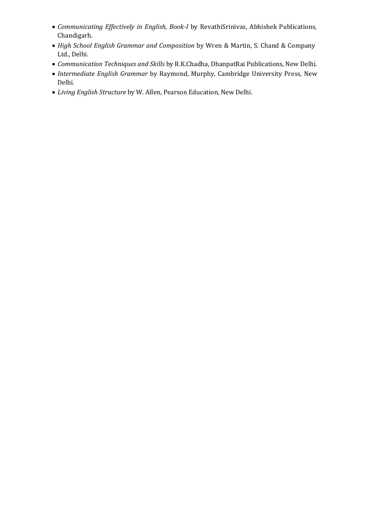- *Communicating Effectively in English, Book-I* by RevathiSrinivas, Abhishek Publications, Chandigarh.
- *High School English Grammar and Composition* by Wren & Martin, S. Chand & Company Ltd., Delhi.
- *Communication Techniques and Skills* by R.K.Chadha, DhanpatRai Publications, New Delhi.
- *Intermediate English Grammar* by Raymond, Murphy, Cambridge University Press, New Delhi.
- *Living English Structure* by W. Allen, Pearson Education, New Delhi.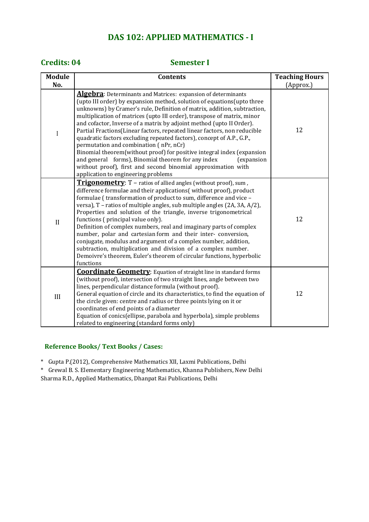## **DAS 102: APPLIED MATHEMATICS - I**

### **Credits: 04 Semester I**

| <b>Module</b>             | <b>Contents</b>                                                                                                                                                                                                                                                                                                                                                                                                                                                                                                                                                                                                                                                                                                                                                                                                                     | <b>Teaching Hours</b> |
|---------------------------|-------------------------------------------------------------------------------------------------------------------------------------------------------------------------------------------------------------------------------------------------------------------------------------------------------------------------------------------------------------------------------------------------------------------------------------------------------------------------------------------------------------------------------------------------------------------------------------------------------------------------------------------------------------------------------------------------------------------------------------------------------------------------------------------------------------------------------------|-----------------------|
| No.                       |                                                                                                                                                                                                                                                                                                                                                                                                                                                                                                                                                                                                                                                                                                                                                                                                                                     | (Approx.)             |
| $\boldsymbol{\mathrm{I}}$ | <b>Algebra:</b> Determinants and Matrices: expansion of determinants<br>(upto III order) by expansion method, solution of equations (upto three<br>unknowns) by Cramer's rule, Definition of matrix, addition, subtraction,<br>multiplication of matrices (upto III order), transpose of matrix, minor<br>and cofactor, Inverse of a matrix by adjoint method (upto II Order).<br>Partial Fractions (Linear factors, repeated linear factors, non reducible<br>quadratic factors excluding repeated factors), concept of A.P., G.P.,<br>permutation and combination (nPr, nCr)<br>Binomial theorem(without proof) for positive integral index (expansion<br>and general forms), Binomial theorem for any index<br>(expansion<br>without proof), first and second binomial approximation with<br>application to engineering problems | 12                    |
| $\mathbf{I}$              | Trigonometry: T - ratios of allied angles (without proof), sum,<br>difference formulae and their applications(without proof), product<br>formulae (transformation of product to sum, difference and vice -<br>versa), T - ratios of multiple angles, sub multiple angles (2A, 3A, A/2),<br>Properties and solution of the triangle, inverse trigonometrical<br>functions (principal value only).<br>Definition of complex numbers, real and imaginary parts of complex<br>number, polar and cartesian form and their inter- conversion,<br>conjugate, modulus and argument of a complex number, addition,<br>subtraction, multiplication and division of a complex number.<br>Demoivre's theorem, Euler's theorem of circular functions, hyperbolic<br>functions                                                                    | 12                    |
| III                       | <b>Coordinate Geometry:</b> Equation of straight line in standard forms<br>(without proof), intersection of two straight lines, angle between two<br>lines, perpendicular distance formula (without proof).<br>General equation of circle and its characteristics, to find the equation of<br>the circle given: centre and radius or three points lying on it or<br>coordinates of end points of a diameter<br>Equation of conics(ellipse, parabola and hyperbola), simple problems<br>related to engineering (standard forms only)                                                                                                                                                                                                                                                                                                 | 12                    |

### **Reference Books/ Text Books / Cases:**

\* Gupta P.(2012), Comprehensive Mathematics XII, Laxmi Publications, Delhi

\* Grewal B. S. Elementary Engineering Mathematics, Khanna Publishers, New Delhi Sharma R.D., Applied Mathematics, Dhanpat Rai Publications, Delhi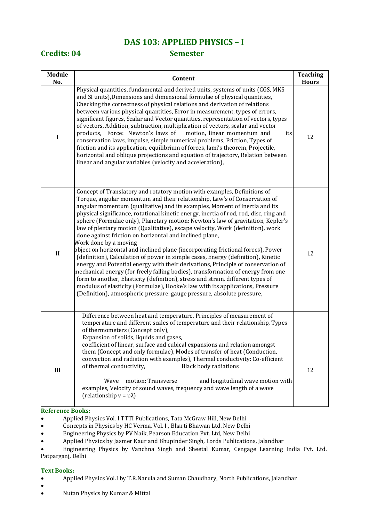### **DAS 103: APPLIED PHYSICS – I**

### **Credits: 04 Semester**

| <b>Module</b><br>No. | Content                                                                                                                                                                                                                                                                                                                                                                                                                                                                                                                                                                                                                                                                                                                                                                                                                                                                                                                                                                                                                                                                                                                                                                             | <b>Teaching</b><br><b>Hours</b> |  |
|----------------------|-------------------------------------------------------------------------------------------------------------------------------------------------------------------------------------------------------------------------------------------------------------------------------------------------------------------------------------------------------------------------------------------------------------------------------------------------------------------------------------------------------------------------------------------------------------------------------------------------------------------------------------------------------------------------------------------------------------------------------------------------------------------------------------------------------------------------------------------------------------------------------------------------------------------------------------------------------------------------------------------------------------------------------------------------------------------------------------------------------------------------------------------------------------------------------------|---------------------------------|--|
| $\bf{I}$             | Physical quantities, fundamental and derived units, systems of units (CGS, MKS<br>and SI units), Dimensions and dimensional formulae of physical quantities,<br>Checking the correctness of physical relations and derivation of relations<br>between various physical quantities, Error in measurement, types of errors,<br>significant figures, Scalar and Vector quantities, representation of vectors, types<br>of vectors, Addition, subtraction, multiplication of vectors, scalar and vector<br>products, Force: Newton's laws of<br>motion, linear momentum and<br>its<br>conservation laws, impulse, simple numerical problems, Friction, Types of<br>friction and its application, equilibrium of forces, lami's theorem, Projectile,<br>horizontal and oblique projections and equation of trajectory, Relation between<br>linear and angular variables (velocity and acceleration),                                                                                                                                                                                                                                                                                     | 12                              |  |
| $\mathbf{I}$         | Concept of Translatory and rotatory motion with examples, Definitions of<br>Torque, angular momentum and their relationship, Law's of Conservation of<br>angular momentum (qualitative) and its examples, Moment of inertia and its<br>physical significance, rotational kinetic energy, inertia of rod, rod, disc, ring and<br>sphere (Formulae only), Planetary motion: Newton's law of gravitation, Kepler's<br>law of plentary motion (Qualitative), escape velocity, Work (definition), work<br>done against friction on horizontal and inclined plane,<br>Work done by a moving<br>object on horizontal and inclined plane (incorporating frictional forces), Power<br>(definition), Calculation of power in simple cases, Energy (definition), Kinetic<br>energy and Potential energy with their derivations, Principle of conservation of<br>mechanical energy (for freely falling bodies), transformation of energy from one<br>form to another, Elasticity (definition), stress and strain, different types of<br>modulus of elasticity (Formulae), Hooke's law with its applications, Pressure<br>(Definition), atmospheric pressure. gauge pressure, absolute pressure, | 12                              |  |
| III                  | Difference between heat and temperature, Principles of measurement of<br>temperature and different scales of temperature and their relationship, Types<br>of thermometers (Concept only),<br>Expansion of solids, liquids and gases,<br>coefficient of linear, surface and cubical expansions and relation amongst<br>them (Concept and only formulae), Modes of transfer of heat (Conduction,<br>convection and radiation with examples), Thermal conductivity: Co-efficient<br>of thermal conductivity,<br><b>Black body radiations</b><br>motion: Transverse<br>and longitudinal wave motion with<br>Wave<br>examples, Velocity of sound waves, frequency and wave length of a wave<br>(relationship $v = v\lambda$ )                                                                                                                                                                                                                                                                                                                                                                                                                                                            | 12                              |  |

### **Reference Books:**

- Applied Physics Vol. I TTTI Publications, Tata McGraw Hill, New Delhi
- Concepts in Physics by HC Verma, Vol. I , Bharti Bhawan Ltd. New Delhi
- Engineering Physics by PV Naik, Pearson Education Pvt. Ltd, New Delhi
- Applied Physics by Jasmer Kaur and Bhupinder Singh, Lords Publications, Jalandhar

 Engineering Physics by Vanchna Singh and Sheetal Kumar, Cengage Learning India Pvt. Ltd. Patparganj, Delhi

### **Text Books:**

 $\bullet$ 

- Applied Physics Vol.I by T.R.Narula and Suman Chaudhary, North Publications, Jalandhar
- Nutan Physics by Kumar & Mittal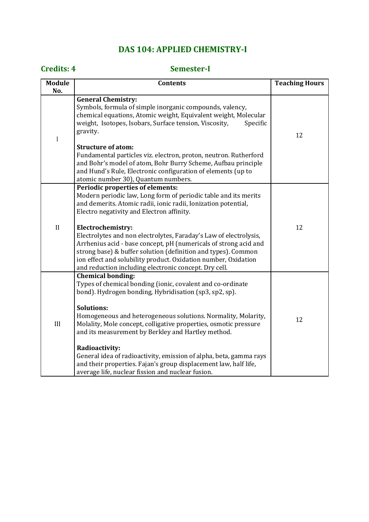## **DAS 104: APPLIED CHEMISTRY-I**

### **Credits: 4 Semester-I**

| <b>Module</b><br>No. | <b>Contents</b>                                                                                                                                                                                                                                                                                                                                                                                                                                                                                                                                                                   | <b>Teaching Hours</b> |
|----------------------|-----------------------------------------------------------------------------------------------------------------------------------------------------------------------------------------------------------------------------------------------------------------------------------------------------------------------------------------------------------------------------------------------------------------------------------------------------------------------------------------------------------------------------------------------------------------------------------|-----------------------|
|                      |                                                                                                                                                                                                                                                                                                                                                                                                                                                                                                                                                                                   |                       |
| I                    | <b>General Chemistry:</b><br>Symbols, formula of simple inorganic compounds, valency,<br>chemical equations, Atomic weight, Equivalent weight, Molecular<br>weight, Isotopes, Isobars, Surface tension, Viscosity,<br>Specific<br>gravity.                                                                                                                                                                                                                                                                                                                                        | 12                    |
|                      | <b>Structure of atom:</b><br>Fundamental particles viz. electron, proton, neutron. Rutherford<br>and Bohr's model of atom, Bohr Burry Scheme, Aufbau principle<br>and Hund's Rule, Electronic configuration of elements (up to<br>atomic number 30), Quantum numbers.                                                                                                                                                                                                                                                                                                             |                       |
|                      | <b>Periodic properties of elements:</b><br>Modern periodic law, Long form of periodic table and its merits<br>and demerits. Atomic radii, ionic radii, Ionization potential,<br>Electro negativity and Electron affinity.                                                                                                                                                                                                                                                                                                                                                         |                       |
| II                   | Electrochemistry:<br>Electrolytes and non electrolytes, Faraday's Law of electrolysis,<br>Arrhenius acid - base concept, pH (numericals of strong acid and<br>strong base) & buffer solution (definition and types). Common<br>ion effect and solubility product. Oxidation number, Oxidation<br>and reduction including electronic concept. Dry cell.                                                                                                                                                                                                                            | 12                    |
| III                  | <b>Chemical bonding:</b><br>Types of chemical bonding (ionic, covalent and co-ordinate<br>bond). Hydrogen bonding, Hybridisation (sp3, sp2, sp).<br><b>Solutions:</b><br>Homogeneous and heterogeneous solutions. Normality, Molarity,<br>Molality, Mole concept, colligative properties, osmotic pressure<br>and its measurement by Berkley and Hartley method.<br>Radioactivity:<br>General idea of radioactivity, emission of alpha, beta, gamma rays<br>and their properties. Fajan's group displacement law, half life,<br>average life, nuclear fission and nuclear fusion. | 12                    |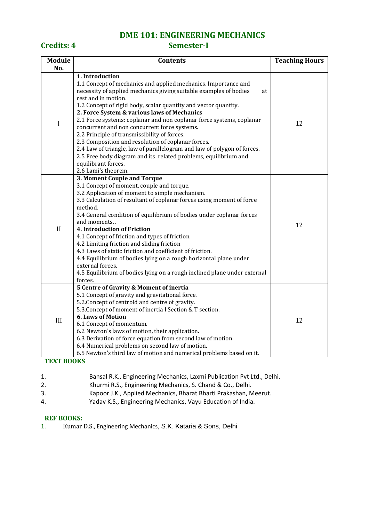# **DME 101: ENGINEERING MECHANICS**

### **Credits: 4 Semester-I**

| <b>Module</b> | <b>Contents</b>                                                                                                                                                                                                                                                                                                                                                                                                                                                                                                                                                                                                                                                                                                                 | <b>Teaching Hours</b> |
|---------------|---------------------------------------------------------------------------------------------------------------------------------------------------------------------------------------------------------------------------------------------------------------------------------------------------------------------------------------------------------------------------------------------------------------------------------------------------------------------------------------------------------------------------------------------------------------------------------------------------------------------------------------------------------------------------------------------------------------------------------|-----------------------|
| No.           |                                                                                                                                                                                                                                                                                                                                                                                                                                                                                                                                                                                                                                                                                                                                 |                       |
| $\mathbf I$   | 1. Introduction<br>1.1 Concept of mechanics and applied mechanics. Importance and<br>necessity of applied mechanics giving suitable examples of bodies<br>at<br>rest and in motion.<br>1.2 Concept of rigid body, scalar quantity and vector quantity.<br>2. Force System & various laws of Mechanics<br>2.1 Force systems: coplanar and non coplanar force systems, coplanar<br>concurrent and non concurrent force systems.<br>2.2 Principle of transmissibility of forces.<br>2.3 Composition and resolution of coplanar forces.<br>2.4 Law of triangle, law of parallelogram and law of polygon of forces.<br>2.5 Free body diagram and its related problems, equilibrium and<br>equilibrant forces.<br>2.6 Lami's theorem. | 12                    |
| $\mathbf{I}$  | <b>3. Moment Couple and Torque</b><br>3.1 Concept of moment, couple and torque.<br>3.2 Application of moment to simple mechanism.<br>3.3 Calculation of resultant of coplanar forces using moment of force<br>method.<br>3.4 General condition of equilibrium of bodies under coplanar forces<br>and moments<br>4. Introduction of Friction<br>4.1 Concept of friction and types of friction.<br>4.2 Limiting friction and sliding friction<br>4.3 Laws of static friction and coefficient of friction.<br>4.4 Equilibrium of bodies lying on a rough horizontal plane under<br>external forces.<br>4.5 Equilibrium of bodies lying on a rough inclined plane under external<br>forces.                                         | 12                    |
| III           | 5 Centre of Gravity & Moment of inertia<br>5.1 Concept of gravity and gravitational force.<br>5.2. Concept of centroid and centre of gravity.<br>5.3. Concept of moment of inertia I Section & T section.<br><b>6. Laws of Motion</b><br>6.1 Concept of momentum.<br>6.2 Newton's laws of motion, their application.<br>6.3 Derivation of force equation from second law of motion.<br>6.4 Numerical problems on second law of motion.<br>6.5 Newton's third law of motion and numerical problems based on it.                                                                                                                                                                                                                  | 12                    |

### **TEXT BOOKS**

- 1. Bansal R.K., Engineering Mechanics, Laxmi Publication Pvt Ltd., Delhi.
- 2. Khurmi R.S., Engineering Mechanics, S. Chand & Co., Delhi.
- 3. Kapoor J.K., Applied Mechanics, Bharat Bharti Prakashan, Meerut.
- 4. Yadav K.S., Engineering Mechanics, Vayu Education of India.

### **REF BOOKS:**

1. Kumar D.S., Engineering Mechanics, S.K. Kataria & Sons, Delhi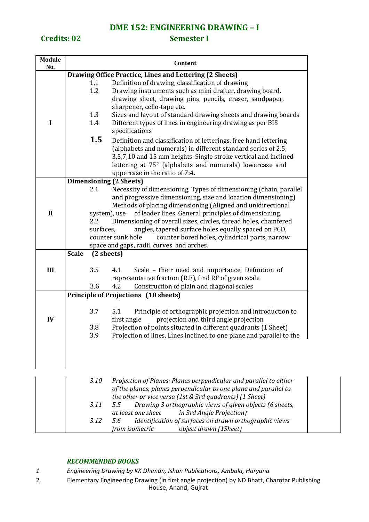### **DME 152: ENGINEERING DRAWING – I**

**Credits: 02 Semester I** 

| Module       | Content                                               |            |                                                                              |  |  |  |  |
|--------------|-------------------------------------------------------|------------|------------------------------------------------------------------------------|--|--|--|--|
| No.          |                                                       |            |                                                                              |  |  |  |  |
|              |                                                       |            | Drawing Office Practice, Lines and Lettering (2 Sheets)                      |  |  |  |  |
|              |                                                       | 1.1        | Definition of drawing, classification of drawing                             |  |  |  |  |
|              |                                                       | 1.2        | Drawing instruments such as mini drafter, drawing board,                     |  |  |  |  |
|              |                                                       |            | drawing sheet, drawing pins, pencils, eraser, sandpaper,                     |  |  |  |  |
|              |                                                       |            | sharpener, cello-tape etc.                                                   |  |  |  |  |
|              |                                                       | 1.3        | Sizes and layout of standard drawing sheets and drawing boards               |  |  |  |  |
| I            |                                                       | 1.4        | Different types of lines in engineering drawing as per BIS<br>specifications |  |  |  |  |
|              | 1.5                                                   |            |                                                                              |  |  |  |  |
|              |                                                       |            | Definition and classification of letterings, free hand lettering             |  |  |  |  |
|              |                                                       |            | (alphabets and numerals) in different standard series of 2.5,                |  |  |  |  |
|              |                                                       |            | 3,5,7,10 and 15 mm heights. Single stroke vertical and inclined              |  |  |  |  |
|              |                                                       |            | lettering at 75° (alphabets and numerals) lowercase and                      |  |  |  |  |
|              |                                                       |            | uppercase in the ratio of 7:4.                                               |  |  |  |  |
|              |                                                       |            | <b>Dimensioning (2 Sheets)</b>                                               |  |  |  |  |
|              |                                                       | 2.1        | Necessity of dimensioning, Types of dimensioning (chain, parallel            |  |  |  |  |
|              |                                                       |            | and progressive dimensioning, size and location dimensioning)                |  |  |  |  |
|              |                                                       |            | Methods of placing dimensioning (Aligned and unidirectional                  |  |  |  |  |
| $\mathbf{I}$ |                                                       |            | of leader lines. General principles of dimensioning.<br>system), use         |  |  |  |  |
|              |                                                       | 2.2        | Dimensioning of overall sizes, circles, thread holes, chamfered              |  |  |  |  |
|              |                                                       | surfaces,  | angles, tapered surface holes equally spaced on PCD,                         |  |  |  |  |
|              |                                                       |            | counter sunk hole<br>counter bored holes, cylindrical parts, narrow          |  |  |  |  |
|              |                                                       |            | space and gaps, radii, curves and arches.                                    |  |  |  |  |
|              | <b>Scale</b>                                          | (2 sheets) |                                                                              |  |  |  |  |
|              |                                                       |            |                                                                              |  |  |  |  |
| III          |                                                       | 3.5        | Scale - their need and importance, Definition of<br>4.1                      |  |  |  |  |
|              | representative fraction (R.F), find RF of given scale |            |                                                                              |  |  |  |  |
|              |                                                       | 3.6        | 4.2<br>Construction of plain and diagonal scales                             |  |  |  |  |
|              |                                                       |            | <b>Principle of Projections (10 sheets)</b>                                  |  |  |  |  |
|              |                                                       |            |                                                                              |  |  |  |  |
|              |                                                       | 3.7        | 5.1<br>Principle of orthographic projection and introduction to              |  |  |  |  |
| IV           |                                                       |            | first angle<br>projection and third angle projection                         |  |  |  |  |
|              |                                                       | 3.8        | Projection of points situated in different quadrants (1 Sheet)               |  |  |  |  |
|              |                                                       | 3.9        | Projection of lines, Lines inclined to one plane and parallel to the         |  |  |  |  |
|              |                                                       |            |                                                                              |  |  |  |  |
|              |                                                       |            |                                                                              |  |  |  |  |
|              |                                                       | 3.10       | Projection of Planes: Planes perpendicular and parallel to either            |  |  |  |  |
|              |                                                       |            | of the planes; planes perpendicular to one plane and parallel to             |  |  |  |  |
|              |                                                       |            | the other or vice versa (1st & 3rd quadrants) (1 Sheet)                      |  |  |  |  |
|              |                                                       | 3.11       | Drawing 3 orthographic views of given objects (6 sheets,<br>5.5              |  |  |  |  |
|              |                                                       |            | at least one sheet<br>in 3rd Angle Projection)                               |  |  |  |  |
|              |                                                       | 3.12       | Identification of surfaces on drawn orthographic views<br>5.6                |  |  |  |  |
|              |                                                       |            | object drawn (1Sheet)<br>from isometric                                      |  |  |  |  |

### *RECOMMENDED BOOKS*

*1. Engineering Drawing by KK Dhiman, Ishan Publications, Ambala, Haryana*

2. Elementary Engineering Drawing (in first angle projection) by ND Bhatt, Charotar Publishing House, Anand, Gujrat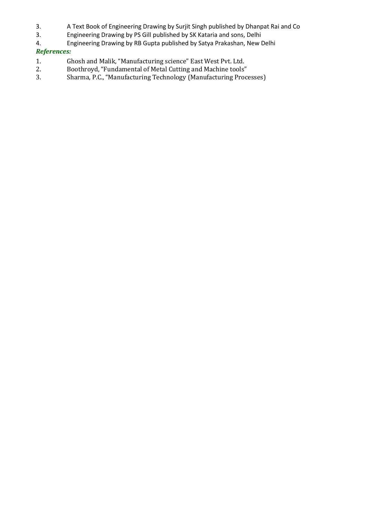- 3. A Text Book of Engineering Drawing by Surjit Singh published by Dhanpat Rai and Co
- 3. Engineering Drawing by PS Gill published by SK Kataria and sons, Delhi
- 4. Engineering Drawing by RB Gupta published by Satya Prakashan, New Delhi

### *References:*

- 1. Ghosh and Malik, "Manufacturing science" East West Pvt. Ltd.<br>2. Boothroyd, "Fundamental of Metal Cutting and Machine tools"
- 2. Boothroyd, "Fundamental of Metal Cutting and Machine tools"
- 3. Sharma, P.C., "Manufacturing Technology (Manufacturing Processes)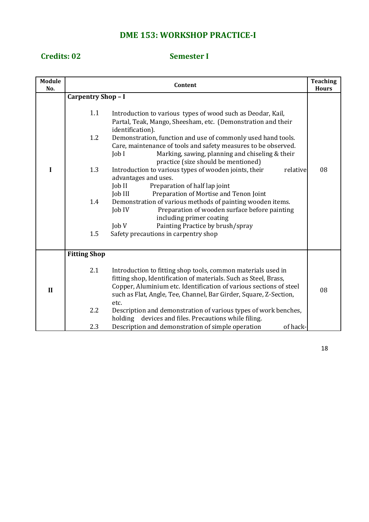# **DME 153: WORKSHOP PRACTICE-I**

### **Credits: 02 Semester I**

| <b>Module</b><br>No. | Content                                                                                                                                                                                                                                                                                                                                                                                                                                                                                                                                                                                                                                                                                                                                                                                                                                                                                                                | <b>Teaching</b><br><b>Hours</b> |
|----------------------|------------------------------------------------------------------------------------------------------------------------------------------------------------------------------------------------------------------------------------------------------------------------------------------------------------------------------------------------------------------------------------------------------------------------------------------------------------------------------------------------------------------------------------------------------------------------------------------------------------------------------------------------------------------------------------------------------------------------------------------------------------------------------------------------------------------------------------------------------------------------------------------------------------------------|---------------------------------|
| I                    | <b>Carpentry Shop - I</b><br>1.1<br>Introduction to various types of wood such as Deodar, Kail,<br>Partal, Teak, Mango, Sheesham, etc. (Demonstration and their<br>identification).<br>1.2<br>Demonstration, function and use of commonly used hand tools.<br>Care, maintenance of tools and safety measures to be observed.<br>Marking, sawing, planning and chiseling & their<br>$\text{Job}$ $\text{I}$<br>practice (size should be mentioned)<br>1.3<br>Introduction to various types of wooden joints, their<br>relative<br>advantages and uses.<br>Preparation of half lap joint<br>Job II<br>Preparation of Mortise and Tenon Joint<br>Job III<br>1.4<br>Demonstration of various methods of painting wooden items.<br>Preparation of wooden surface before painting<br>Job IV<br>including primer coating<br>$\text{Job }V$<br>Painting Practice by brush/spray<br>Safety precautions in carpentry shop<br>1.5 | 08                              |
| $\mathbf{I}$         | <b>Fitting Shop</b><br>2.1<br>Introduction to fitting shop tools, common materials used in<br>fitting shop, Identification of materials. Such as Steel, Brass,<br>Copper, Aluminium etc. Identification of various sections of steel<br>such as Flat, Angle, Tee, Channel, Bar Girder, Square, Z-Section,<br>etc.<br>2.2<br>Description and demonstration of various types of work benches,<br>holding devices and files. Precautions while filing.<br>2.3<br>Description and demonstration of simple operation<br>of hack-                                                                                                                                                                                                                                                                                                                                                                                            | 08                              |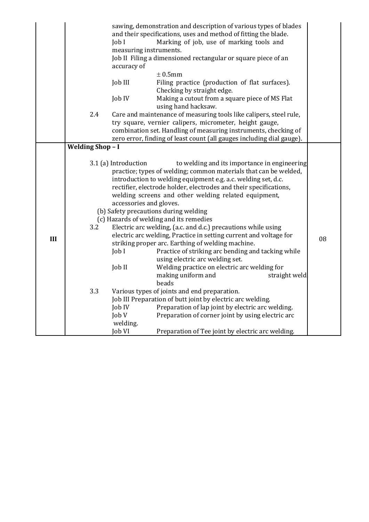|     | sawing, demonstration and description of various types of blades<br>and their specifications, uses and method of fitting the blade.<br>Marking of job, use of marking tools and<br>Job I<br>measuring instruments.<br>Job II Filing a dimensioned rectangular or square piece of an<br>accuracy of<br>$±$ 0.5mm<br>Job III<br>Filing practice (production of flat surfaces). |                                                                                                      |                                                                                                                                                                                                                                                                                                                                                                                                                                                                                                                                                                                                                                                                                                                                                                                                                                                                                                                                                                                               |               |    |
|-----|------------------------------------------------------------------------------------------------------------------------------------------------------------------------------------------------------------------------------------------------------------------------------------------------------------------------------------------------------------------------------|------------------------------------------------------------------------------------------------------|-----------------------------------------------------------------------------------------------------------------------------------------------------------------------------------------------------------------------------------------------------------------------------------------------------------------------------------------------------------------------------------------------------------------------------------------------------------------------------------------------------------------------------------------------------------------------------------------------------------------------------------------------------------------------------------------------------------------------------------------------------------------------------------------------------------------------------------------------------------------------------------------------------------------------------------------------------------------------------------------------|---------------|----|
|     |                                                                                                                                                                                                                                                                                                                                                                              |                                                                                                      | Checking by straight edge.                                                                                                                                                                                                                                                                                                                                                                                                                                                                                                                                                                                                                                                                                                                                                                                                                                                                                                                                                                    |               |    |
|     |                                                                                                                                                                                                                                                                                                                                                                              | Job IV                                                                                               | Making a cutout from a square piece of MS Flat<br>using hand hacksaw.                                                                                                                                                                                                                                                                                                                                                                                                                                                                                                                                                                                                                                                                                                                                                                                                                                                                                                                         |               |    |
|     | 2.4                                                                                                                                                                                                                                                                                                                                                                          |                                                                                                      | Care and maintenance of measuring tools like calipers, steel rule,<br>try square, vernier calipers, micrometer, height gauge,<br>combination set. Handling of measuring instruments, checking of<br>zero error, finding of least count (all gauges including dial gauge).                                                                                                                                                                                                                                                                                                                                                                                                                                                                                                                                                                                                                                                                                                                     |               |    |
|     | <b>Welding Shop-I</b>                                                                                                                                                                                                                                                                                                                                                        |                                                                                                      |                                                                                                                                                                                                                                                                                                                                                                                                                                                                                                                                                                                                                                                                                                                                                                                                                                                                                                                                                                                               |               |    |
| III | 3.2<br>3.3                                                                                                                                                                                                                                                                                                                                                                   | 3.1 (a) Introduction<br>accessories and gloves.<br>$J$ ob I<br>Job II<br>Job IV<br>Job V<br>welding. | to welding and its importance in engineering<br>practice; types of welding; common materials that can be welded,<br>introduction to welding equipment e.g. a.c. welding set, d.c.<br>rectifier, electrode holder, electrodes and their specifications,<br>welding screens and other welding related equipment,<br>(b) Safety precautions during welding<br>(c) Hazards of welding and its remedies<br>Electric arc welding, (a.c. and d.c.) precautions while using<br>electric arc welding, Practice in setting current and voltage for<br>striking proper arc. Earthing of welding machine.<br>Practice of striking arc bending and tacking while<br>using electric arc welding set.<br>Welding practice on electric arc welding for<br>making uniform and<br>beads<br>Various types of joints and end preparation.<br>Job III Preparation of butt joint by electric arc welding.<br>Preparation of lap joint by electric arc welding.<br>Preparation of corner joint by using electric arc | straight weld | 08 |
|     |                                                                                                                                                                                                                                                                                                                                                                              | Job VI                                                                                               | Preparation of Tee joint by electric arc welding.                                                                                                                                                                                                                                                                                                                                                                                                                                                                                                                                                                                                                                                                                                                                                                                                                                                                                                                                             |               |    |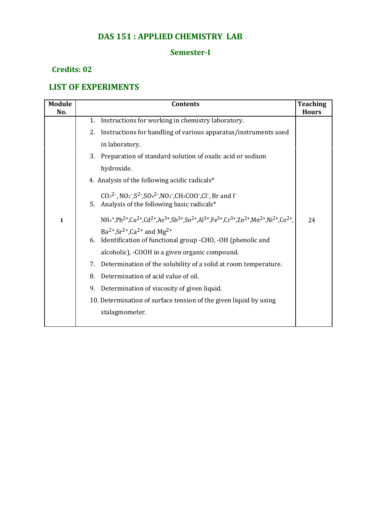## **DAS 151 : APPLIED CHEMISTRY LAB**

### **Semester-I**

### **Credits: 02**

# **LIST OF EXPERIMENTS**

| <b>Module</b><br>No. | <b>Contents</b>                                                                                                                                                                                                                                                 | <b>Teaching</b><br><b>Hours</b> |
|----------------------|-----------------------------------------------------------------------------------------------------------------------------------------------------------------------------------------------------------------------------------------------------------------|---------------------------------|
|                      | Instructions for working in chemistry laboratory.<br>1.                                                                                                                                                                                                         |                                 |
|                      | Instructions for handling of various apparatus/instruments used<br>2.                                                                                                                                                                                           |                                 |
|                      | in laboratory.                                                                                                                                                                                                                                                  |                                 |
|                      | 3.<br>Preparation of standard solution of oxalic acid or sodium                                                                                                                                                                                                 |                                 |
|                      | hydroxide.                                                                                                                                                                                                                                                      |                                 |
|                      | 4. Analysis of the following acidic radicals*                                                                                                                                                                                                                   |                                 |
|                      | $CO32$ , NO <sub>2</sub> , $S2$ , SO <sub>4</sub> <sup>2</sup> , NO <sub>3</sub> , CH <sub>3</sub> COO, Cl, Br and I <sup>-</sup><br>5. Analysis of the following basic radicals*                                                                               |                                 |
| I                    | $NH_4$ <sup>+</sup> ,Pb <sup>2+</sup> ,Cu <sup>2+</sup> ,Cd <sup>2+</sup> ,As <sup>3+</sup> ,Sb <sup>3+</sup> ,Sn <sup>2+</sup> ,Al <sup>3+</sup> ,Fe <sup>3+</sup> ,Cr <sup>3+</sup> ,Zn <sup>2+</sup> ,Mn <sup>2+</sup> ,Ni <sup>2+</sup> ,Co <sup>2+</sup> , | 24                              |
|                      | $Ba^{2+}$ , $Sr^{2+}$ , $Ca^{2+}$ and Mg <sup>2+</sup><br>Identification of functional group -CHO, -OH (phenolic and<br>6.                                                                                                                                      |                                 |
|                      | alcoholic), -COOH in a given organic compound.                                                                                                                                                                                                                  |                                 |
|                      | Determination of the solubility of a solid at room temperature.<br>7.                                                                                                                                                                                           |                                 |
|                      | Determination of acid value of oil.<br>8.                                                                                                                                                                                                                       |                                 |
|                      | Determination of viscosity of given liquid.<br>9.                                                                                                                                                                                                               |                                 |
|                      | 10. Determination of surface tension of the given liquid by using                                                                                                                                                                                               |                                 |
|                      | stalagmometer.                                                                                                                                                                                                                                                  |                                 |
|                      |                                                                                                                                                                                                                                                                 |                                 |